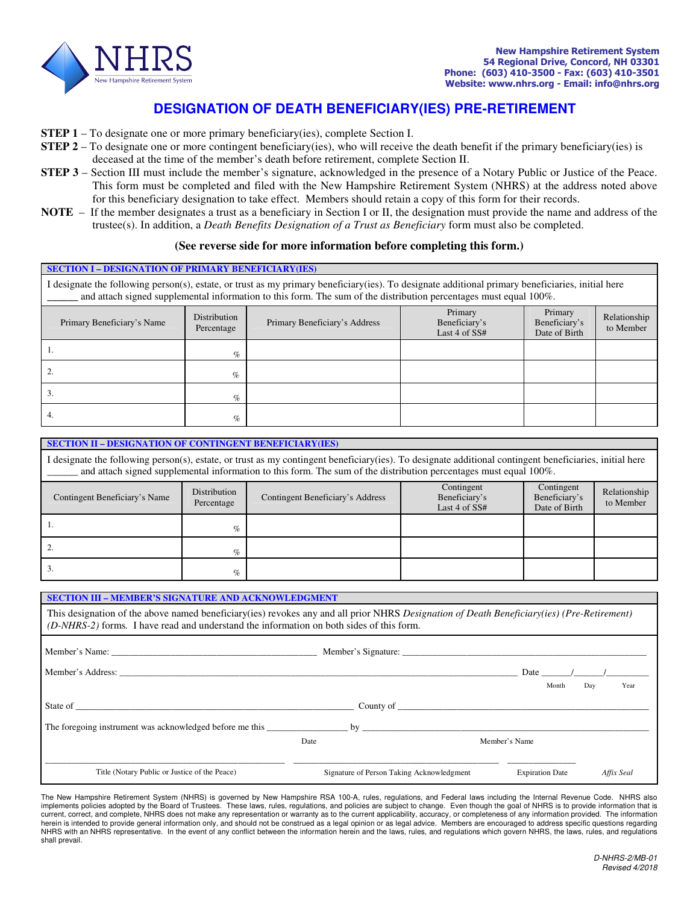

# **DESIGNATION OF DEATH BENEFICIARY(IES) PRE-RETIREMENT**

- **STEP 1** To designate one or more primary beneficiary(ies), complete Section I.
- **STEP 2** To designate one or more contingent beneficiary(ies), who will receive the death benefit if the primary beneficiary(ies) is deceased at the time of the member's death before retirement, complete Section II.
- **STEP 3** Section III must include the member's signature, acknowledged in the presence of a Notary Public or Justice of the Peace. This form must be completed and filed with the New Hampshire Retirement System (NHRS) at the address noted above for this beneficiary designation to take effect. Members should retain a copy of this form for their records.
- **NOTE** If the member designates a trust as a beneficiary in Section I or II, the designation must provide the name and address of the trustee(s). In addition, a *Death Benefits Designation of a Trust as Beneficiary* form must also be completed.

#### **(See reverse side for more information before completing this form.)**

| <b>SECTION I - DESIGNATION OF PRIMARY BENEFICIARY (IES)</b>                                                                                                                                                                                                            |                            |                               |                                           |                                           |                           |  |  |  |  |
|------------------------------------------------------------------------------------------------------------------------------------------------------------------------------------------------------------------------------------------------------------------------|----------------------------|-------------------------------|-------------------------------------------|-------------------------------------------|---------------------------|--|--|--|--|
| I designate the following person(s), estate, or trust as my primary beneficiary(ies). To designate additional primary beneficiaries, initial here<br>and attach signed supplemental information to this form. The sum of the distribution percentages must equal 100%. |                            |                               |                                           |                                           |                           |  |  |  |  |
| Primary Beneficiary's Name                                                                                                                                                                                                                                             | Distribution<br>Percentage | Primary Beneficiary's Address | Primary<br>Beneficiary's<br>Last 4 of SS# | Primary<br>Beneficiary's<br>Date of Birth | Relationship<br>to Member |  |  |  |  |
|                                                                                                                                                                                                                                                                        | $\%$                       |                               |                                           |                                           |                           |  |  |  |  |
|                                                                                                                                                                                                                                                                        | $\%$                       |                               |                                           |                                           |                           |  |  |  |  |
| 3.                                                                                                                                                                                                                                                                     | $\%$                       |                               |                                           |                                           |                           |  |  |  |  |
| 4.                                                                                                                                                                                                                                                                     | $\%$                       |                               |                                           |                                           |                           |  |  |  |  |

| <b>SECTION II - DESIGNATION OF CONTINGENT BENEFICIARY(IES)</b>                                                                                                                                                                                                               |                            |                                  |                                                |                                              |                           |  |  |  |  |  |
|------------------------------------------------------------------------------------------------------------------------------------------------------------------------------------------------------------------------------------------------------------------------------|----------------------------|----------------------------------|------------------------------------------------|----------------------------------------------|---------------------------|--|--|--|--|--|
| I designate the following person(s), estate, or trust as my contingent beneficiary(ies). To designate additional contingent beneficiaries, initial here<br>and attach signed supplemental information to this form. The sum of the distribution percentages must equal 100%. |                            |                                  |                                                |                                              |                           |  |  |  |  |  |
| Contingent Beneficiary's Name                                                                                                                                                                                                                                                | Distribution<br>Percentage | Contingent Beneficiary's Address | Contingent<br>Beneficiary's<br>Last 4 of $SS#$ | Contingent<br>Beneficiary's<br>Date of Birth | Relationship<br>to Member |  |  |  |  |  |
|                                                                                                                                                                                                                                                                              | $\%$                       |                                  |                                                |                                              |                           |  |  |  |  |  |
| 2.                                                                                                                                                                                                                                                                           | $\%$                       |                                  |                                                |                                              |                           |  |  |  |  |  |

#### **SECTION III – MEMBER'S SIGNATURE AND ACKNOWLEDGMENT**

 $\frac{1}{\%}$ 

This designation of the above named beneficiary(ies) revokes any and all prior NHRS *Designation of Death Beneficiary(ies) (Pre-Retirement) (D-NHRS-2)* forms*.* I have read and understand the information on both sides of this form.

|                                                          |                                           |               |                        | Date $\frac{1}{\sqrt{2}}$ |            |
|----------------------------------------------------------|-------------------------------------------|---------------|------------------------|---------------------------|------------|
|                                                          |                                           |               | Month                  | Day                       | Year       |
|                                                          |                                           | County of     |                        |                           |            |
| The foregoing instrument was acknowledged before me this |                                           |               |                        |                           |            |
|                                                          | Date                                      | Member's Name |                        |                           |            |
|                                                          |                                           |               |                        |                           |            |
| Title (Notary Public or Justice of the Peace)            | Signature of Person Taking Acknowledgment |               | <b>Expiration Date</b> |                           | Affix Seal |

The New Hampshire Retirement System (NHRS) is governed by New Hampshire RSA 100-A, rules, regulations, and Federal laws including the Internal Revenue Code. NHRS also implements policies adopted by the Board of Trustees. These laws, rules, regulations, and policies are subject to change. Even though the goal of NHRS is to provide information that is current, correct, and complete, NHRS does not make any representation or warranty as to the current applicability, accuracy, or completeness of any information provided. The information herein is intended to provide general information only, and should not be construed as a legal opinion or as legal advice. Members are encouraged to address specific questions regarding NHRS with an NHRS representative. In the event of any conflict between the information herein and the laws, rules, and regulations which govern NHRS, the laws, rules, and regulations shall prevail.

Relationship to Member